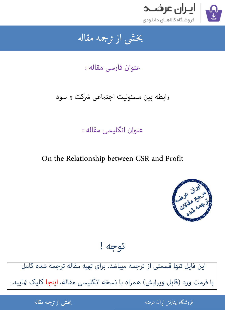

### بخشى از ترجمه مقاله شی از تر بخشی از :

## عنوان فارسی مقاله :

# رابطه بین مسئولیت اجتماعی شرکت و سود

# عنوان انگلیسی مقاله :

## On the Relationship between CSR and Profit



توجه !

این فایل تنها قسمتی از ترجمه میباشد. برای تهیه مقاله ترجمه شده کامل با فرمت ورد (قابل ویرایش) همراه با نسخه انگلیسی مقاله، اینجا کلیک غایید.

> .<br>ه المواقع المواقع المواقع المواقع المواقع المواقع المواقع المواقع المواقع المواقع المواقع المواقع المواقع المو ֦֧֧֚֚֚֚֚֚֚֚֚֚֚֚֚֚֚֚֚֚֚֚֚֬֡֡֡֡֡֡֡֡֡֡֬֓֡֬֝֝֓֡ فروشگاه اینترنتی ایر

ان عرضه مقاله از ترجمه مقاله استخدام استخدام العامل العامل العامل العامل العامل العامل العامل العامل العامل ال